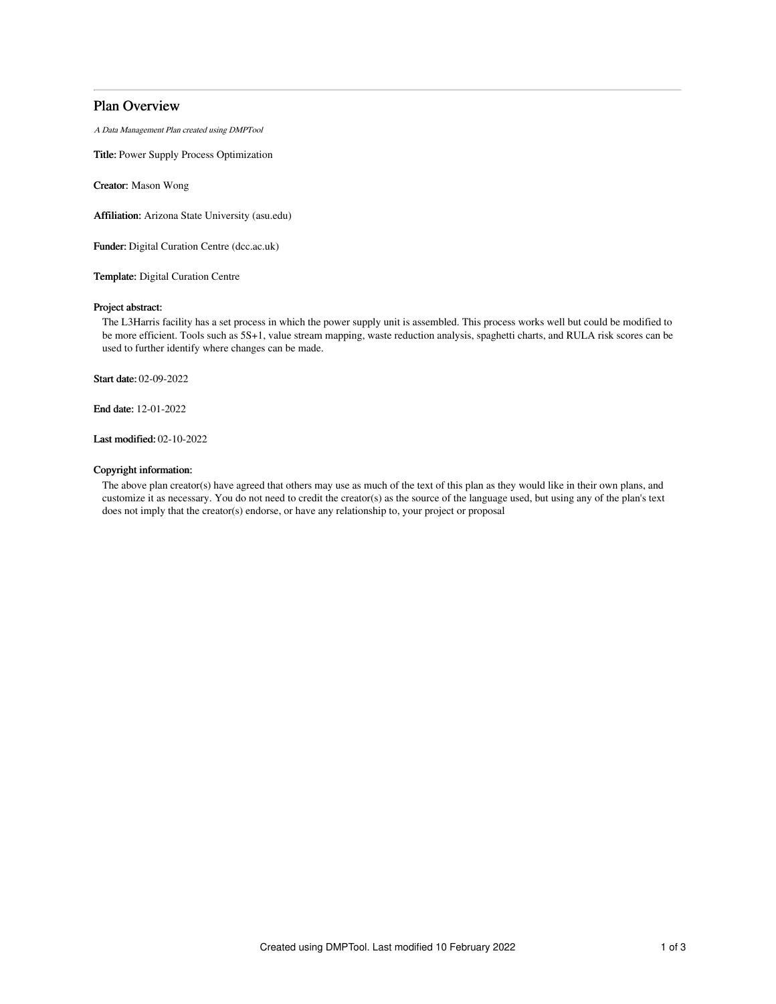# Plan Overview

A Data Management Plan created using DMPTool

Title: Power Supply Process Optimization

Creator: Mason Wong

Affiliation: Arizona State University (asu.edu)

Funder: Digital Curation Centre (dcc.ac.uk)

Template: Digital Curation Centre

## Project abstract:

The L3Harris facility has a set process in which the power supply unit is assembled. This process works well but could be modified to be more efficient. Tools such as 5S+1, value stream mapping, waste reduction analysis, spaghetti charts, and RULA risk scores can be used to further identify where changes can be made.

Start date: 02-09-2022

End date: 12-01-2022

Last modified: 02-10-2022

## Copyright information:

The above plan creator(s) have agreed that others may use as much of the text of this plan as they would like in their own plans, and customize it as necessary. You do not need to credit the creator(s) as the source of the language used, but using any of the plan's text does not imply that the creator(s) endorse, or have any relationship to, your project or proposal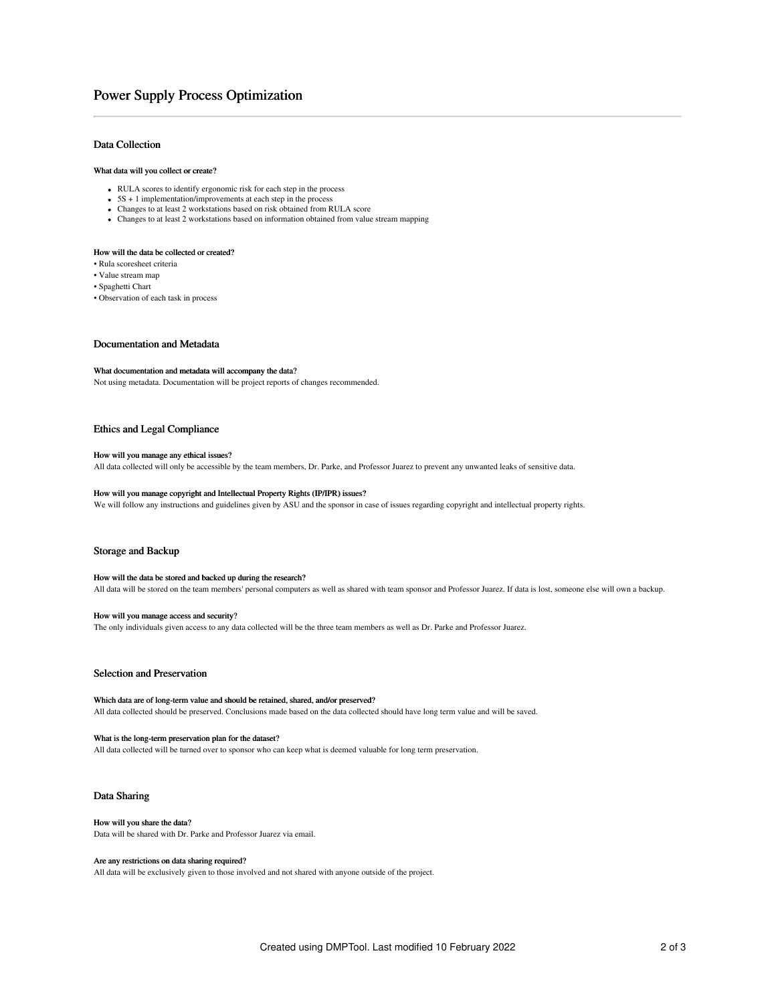# Power Supply Process Optimization

## Data Collection

### What data will you collect or create?

- RULA scores to identify ergonomic risk for each step in the process
- $\bullet$  5S + 1 implementation/improvements at each step in the process
- Changes to at least 2 workstations based on risk obtained from RULA score
- Changes to at least 2 workstations based on information obtained from value stream mapping

### How will the data be collected or created?

- Rula scoresheet criteria
- Value stream map
- Spaghetti Chart
- Observation of each task in process

#### Documentation and Metadata

### What documentation and metadata will accompany the data?

Not using metadata. Documentation will be project reports of changes recommended.

## Ethics and Legal Compliance

#### How will you manage any ethical issues?

All data collected will only be accessible by the team members, Dr. Parke, and Professor Juarez to prevent any unwanted leaks of sensitive data.

# How will you manage copyright and Intellectual Property Rights (IP/IPR) issues?

We will follow any instructions and guidelines given by ASU and the sponsor in case of issues regarding copyright and intellectual property rights.

### Storage and Backup

#### How will the data be stored and backed up during the research?

All data will be stored on the team members' personal computers as well as shared with team sponsor and Professor Juarez. If data is lost, someone else will own a backup.

#### How will you manage access and security?

The only individuals given access to any data collected will be the three team members as well as Dr. Parke and Professor Juarez.

## Selection and Preservation

### Which data are of long-term value and should be retained, shared, and/or preserved? All data collected should be preserved. Conclusions made based on the data collected should have long term value and will be saved.

## What is the long-term preservation plan for the dataset?

All data collected will be turned over to sponsor who can keep what is deemed valuable for long term preservation.

## Data Sharing

# How will you share the data?

Data will be shared with Dr. Parke and Professor Juarez via email.

### Are any restrictions on data sharing required?

All data will be exclusively given to those involved and not shared with anyone outside of the project.